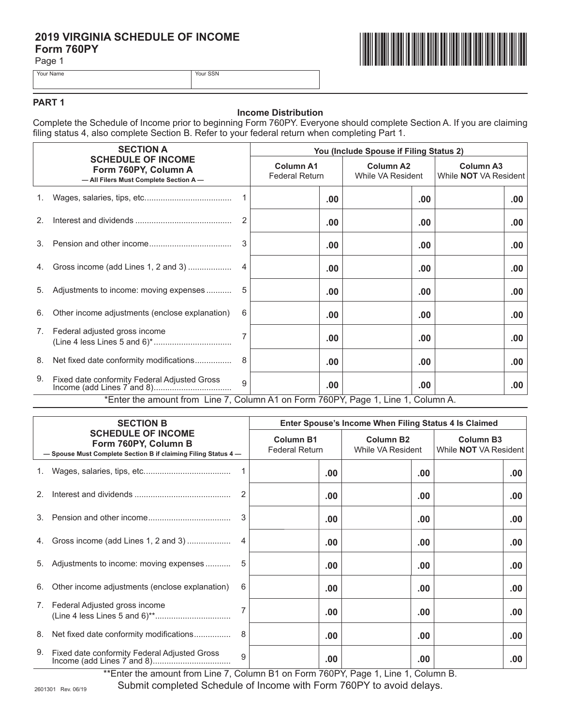## 2019 VIRGINIA SCHEDULE OF INCOME Form 760PY

Your SSN

Page 1



Your Name

## PART<sub>1</sub>

### **Income Distribution**

Complete the Schedule of Income prior to beginning Form 760PY. Everyone should complete Section A. If you are claiming filing status 4, also complete Section B. Refer to your federal return when completing Part 1.

| <b>SECTION A</b>                                                                  |                                                                                            | You (Include Spouse if Filing Status 2) |                                           |          |                                       |                  |                                                  |     |
|-----------------------------------------------------------------------------------|--------------------------------------------------------------------------------------------|-----------------------------------------|-------------------------------------------|----------|---------------------------------------|------------------|--------------------------------------------------|-----|
|                                                                                   | <b>SCHEDULE OF INCOME</b><br>Form 760PY, Column A<br>- All Filers Must Complete Section A- |                                         | <b>Column A1</b><br><b>Federal Return</b> |          | <b>Column A2</b><br>While VA Resident |                  | <b>Column A3</b><br>While <b>NOT</b> VA Resident |     |
| 1.                                                                                |                                                                                            |                                         |                                           | .00      |                                       | .00              |                                                  | .00 |
| 2.                                                                                |                                                                                            | 2                                       |                                           | .00      |                                       | .00              |                                                  | .00 |
| 3.                                                                                |                                                                                            | 3                                       |                                           | .00      |                                       | .00              |                                                  | .00 |
| 4.                                                                                | Gross income (add Lines 1, 2 and 3)                                                        |                                         |                                           | .00      |                                       | .00 <sub>1</sub> |                                                  | .00 |
| 5.                                                                                | Adjustments to income: moving expenses                                                     | 5                                       |                                           | .00      |                                       | .00              |                                                  | .00 |
| 6.                                                                                | Other income adjustments (enclose explanation)                                             | 6                                       |                                           | .00      |                                       | .00              |                                                  | .00 |
| 7.                                                                                | Federal adjusted gross income                                                              | 7                                       |                                           | .00      |                                       | .00              |                                                  | .00 |
| 8.                                                                                | Net fixed date conformity modifications                                                    | 8                                       |                                           | .00      |                                       | .00              |                                                  | .00 |
| 9.                                                                                | Fixed date conformity Federal Adjusted Gross                                               | $\mathbf{Q}$                            |                                           | $.00 \,$ |                                       | $.00 \,$         |                                                  | .00 |
| *Enter the amount from Line 7, Column A1 on Form 760PY, Page 1, Line 1, Column A. |                                                                                            |                                         |                                           |          |                                       |                  |                                                  |     |

| <b>SECTION B</b><br><b>SCHEDULE OF INCOME</b><br>Form 760PY, Column B<br>- Spouse Must Complete Section B if claiming Filing Status 4- |                                                | Enter Spouse's Income When Filing Status 4 Is Claimed |          |                                       |  |                                                  |  |     |
|----------------------------------------------------------------------------------------------------------------------------------------|------------------------------------------------|-------------------------------------------------------|----------|---------------------------------------|--|--------------------------------------------------|--|-----|
|                                                                                                                                        |                                                | <b>Column B1</b><br><b>Federal Return</b>             |          | <b>Column B2</b><br>While VA Resident |  | <b>Column B3</b><br>While <b>NOT</b> VA Resident |  |     |
|                                                                                                                                        |                                                |                                                       | $.00 \,$ |                                       |  | .00                                              |  | .00 |
| 2.                                                                                                                                     |                                                |                                                       | $.00 \,$ |                                       |  | .00.                                             |  | .00 |
| 3.                                                                                                                                     |                                                | 3                                                     | $.00 \,$ |                                       |  | .00                                              |  | .00 |
| 4.                                                                                                                                     | Gross income (add Lines 1, 2 and 3)            |                                                       | $.00 \,$ |                                       |  | .00                                              |  | .00 |
| 5.                                                                                                                                     | Adjustments to income: moving expenses         |                                                       | $.00 \,$ |                                       |  | .00.                                             |  | .00 |
| 6.                                                                                                                                     | Other income adjustments (enclose explanation) | 6                                                     | $.00 \,$ |                                       |  | .00.                                             |  | .00 |
| 7.                                                                                                                                     | Federal Adjusted gross income                  |                                                       | $.00 \,$ |                                       |  | .00.                                             |  | .00 |
| 8.                                                                                                                                     | Net fixed date conformity modifications        | 8                                                     | $.00 \,$ |                                       |  | .00                                              |  | .00 |
| 9.                                                                                                                                     | Fixed date conformity Federal Adjusted Gross   | 9                                                     | $.00 \,$ |                                       |  | .00                                              |  | .00 |

\*\*Enter the amount from Line 7, Column B1 on Form 760PY, Page 1, Line 1, Column B.

Submit completed Schedule of Income with Form 760PY to avoid delays.